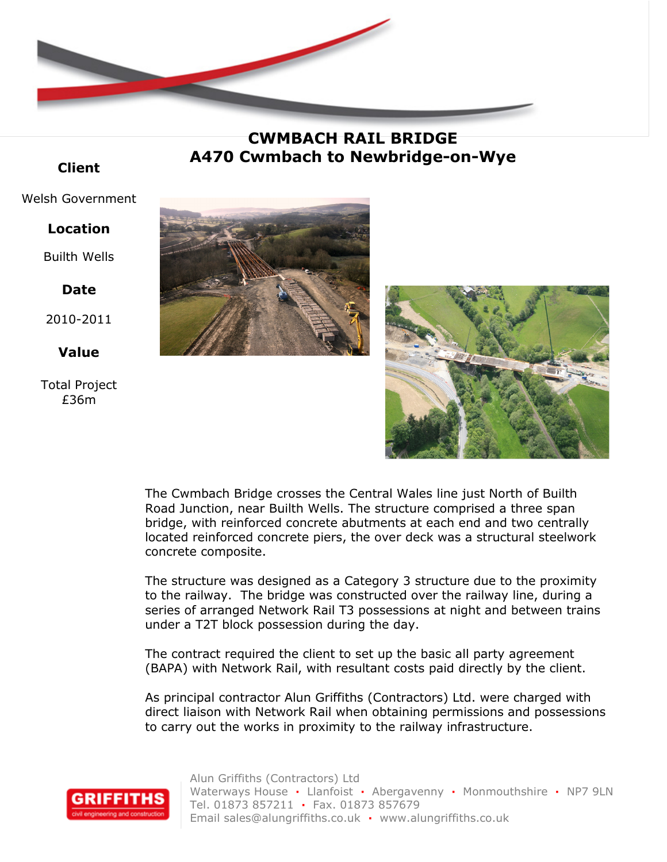

**CWMBACH RAIL BRIDGE A470 Cwmbach to Newbridge-on-Wye**

### **Client**

#### Welsh Government

#### **Location**

Builth Wells

## **Date**

2010-2011

# **Value**

Total Project £36m





The Cwmbach Bridge crosses the Central Wales line just North of Builth Road Junction, near Builth Wells. The structure comprised a three span bridge, with reinforced concrete abutments at each end and two centrally located reinforced concrete piers, the over deck was a structural steelwork concrete composite.

The structure was designed as a Category 3 structure due to the proximity to the railway. The bridge was constructed over the railway line, during a series of arranged Network Rail T3 possessions at night and between trains under a T2T block possession during the day.

The contract required the client to set up the basic all party agreement (BAPA) with Network Rail, with resultant costs paid directly by the client.

As principal contractor Alun Griffiths (Contractors) Ltd. were charged with direct liaison with Network Rail when obtaining permissions and possessions to carry out the works in proximity to the railway infrastructure.



Alun Griffiths (Contractors) Ltd Waterways House **·** Llanfoist **·** Abergavenny **·** Monmouthshire **·** NP7 9LN Tel. 01873 857211 **·** Fax. 01873 857679 Email sales@alungriffiths.co.uk **·** www.alungriffiths.co.uk